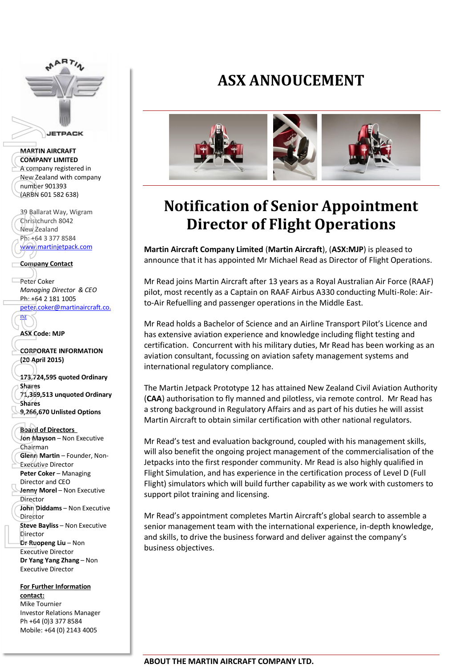

#### **MARTIN AIRCRAFT COMPANY LIMITED** A company registered in New Zealand with company number 901393 (ARBN 601 582 638)

39 Ballarat Way, Wigram Christchurch 8042 New Zealand Ph: +64 3 377 8584 [www.martinjetpack.com](http://www.martinjetpack.com/)

### **Company Contact**

Peter Coker *Managing Director & CEO* Ph: +64 2 181 1005

[peter.coker@martinaircraft.co.](mailto:peter.coker@martinaircraft.co.nz) nz

**ASX Code: MJP**

**CORPORATE INFORMATION (20 April 2015)** 

**173,724,595 quoted Ordinary Shares 71,369,513 unquoted Ordinary Shares 9,266,670 Unlisted Options**

#### **Board of Directors**

**Jon Mayson** – Non Executive Chairman **Glenn Martin** – Founder, Non-Executive Director **Peter Coker** – Managing Director and CEO **Jenny Morel** – Non Executive **Director John Diddams** – Non Executive Director **Steve Bayliss** – Non Executive Director **Dr Ruopeng Liu** – Non Executive Director **Dr Yang Yang Zhang** – Non Executive Director **MARTIN AIRCRAFT**<br>
MARTIN AIRCRAFT<br>
COMPANY LIMITED<br>
A comp[a](mailto:peter.coker@martinaircraft.co.nz)n[y](http://www.google.com.au/url?sa=i&rct=j&q=&esrc=s&frm=1&source=images&cd=&cad=rja&uact=8&docid=aKDxLWePo_Nc8M&tbnid=QS2NV3mJtBUA5M:&ved=0CAUQjRw&url=http://www.indigolyon.com/4/innovations/29/martin-jetpack/&ei=lnmqU9OrKdWfugSSmICgDQ&bvm=bv.69620078,d.dGI&psig=AFQjCNH2uw5oupCtcDP4OOk14eEdE8MNYQ&ust=1403767528894201) registered in<br>
New Zealand with company<br>
(number 901393<br>
(ARBN 601582638)<br>
39 Ballarat Way, Wigram<br>
Company Contact<br>
Mew Zealand<br>
Ph: +64 3 377 8584<br>
Company C

**For Further Information contact:** Mike Tournier Investor Relations Manager Ph +64 (0)3 377 8584 Mobile: +64 (0) 2143 4005

## **ASX ANNOUCEMENT**



# **Notification of Senior Appointment Director of Flight Operations**

**Martin Aircraft Company Limited** (**Martin Aircraft**), (**ASX:MJP**) is pleased to announce that it has appointed Mr Michael Read as Director of Flight Operations.

Mr Read joins Martin Aircraft after 13 years as a Royal Australian Air Force (RAAF) pilot, most recently as a Captain on RAAF Airbus A330 conducting Multi-Role: Airto-Air Refuelling and passenger operations in the Middle East.

Mr Read holds a Bachelor of Science and an Airline Transport Pilot's Licence and has extensive aviation experience and knowledge including flight testing and certification. Concurrent with his military duties, Mr Read has been working as an aviation consultant, focussing on aviation safety management systems and international regulatory compliance.

The Martin Jetpack Prototype 12 has attained New Zealand Civil Aviation Authority (**CAA**) authorisation to fly manned and pilotless, via remote control. Mr Read has a strong background in Regulatory Affairs and as part of his duties he will assist Martin Aircraft to obtain similar certification with other national regulators.

Mr Read's test and evaluation background, coupled with his management skills, will also benefit the ongoing project management of the commercialisation of the Jetpacks into the first responder community. Mr Read is also highly qualified in Flight Simulation, and has experience in the certification process of Level D (Full Flight) simulators which will build further capability as we work with customers to support pilot training and licensing.

Mr Read's appointment completes Martin Aircraft's global search to assemble a senior management team with the international experience, in-depth knowledge, and skills, to drive the business forward and deliver against the company's business objectives.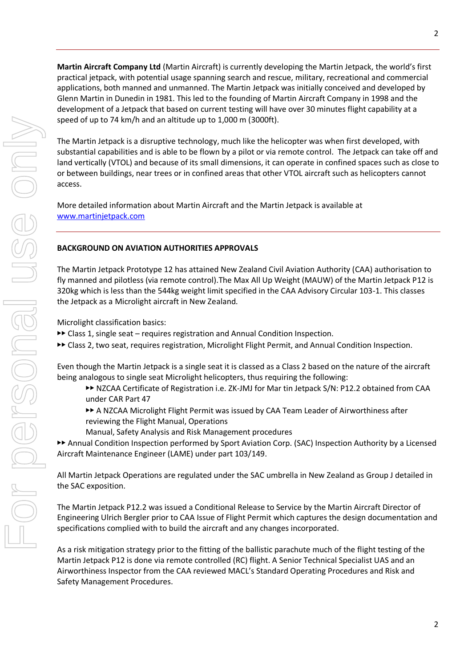**Martin Aircraft Company Ltd** (Martin Aircraft) is currently developing the Martin Jetpack, the world's first practical jetpack, with potential usage spanning search and rescue, military, recreational and commercial applications, both manned and unmanned. The Martin Jetpack was initially conceived and developed by Glenn Martin in Dunedin in 1981. This led to the founding of Martin Aircraft Company in 1998 and the development of a Jetpack that based on current testing will have over 30 minutes flight capability at a speed of up to 74 km/h and an altitude up to 1,000 m (3000ft).

The Martin Jetpack is a disruptive technology, much like the helicopter was when first developed, with substantial capabilities and is able to be flown by a pilot or via remote control. The Jetpack can take off and land vertically (VTOL) and because of its small dimensions, it can operate in confined spaces such as close to or between buildings, near trees or in confined areas that other VTOL aircraft such as helicopters cannot access.

More detailed information about Martin Aircraft and the Martin Jetpack is available at [www.martinjetpack.com](http://www.martinjetpack.com/)

### **BACKGROUND ON AVIATION AUTHORITIES APPROVALS**

The Martin Jetpack Prototype 12 has attained New Zealand Civil Aviation Authority (CAA) authorisation to fly manned and pilotless (via remote control).The Max All Up Weight (MAUW) of the Martin Jetpack P12 is 320kg which is less than the 544kg weight limit specified in the CAA Advisory Circular 103-1. This classes the Jetpack as a Microlight aircraft in New Zealand.

Microlight classification basics:

▶▶ Class 1, single seat – requires registration and Annual Condition Inspection.

▶▶ Class 2, two seat, requires registration, Microlight Flight Permit, and Annual Condition Inspection.

Even though the Martin Jetpack is a single seat it is classed as a Class 2 based on the nature of the aircraft being analogous to single seat Microlight helicopters, thus requiring the following:

- ▶▶ NZCAA Certificate of Registration i.e. ZK-JMJ for Mar tin Jetpack S/N: P12.2 obtained from CAA under CAR Part 47
- ▶▶ A NZCAA Microlight Flight Permit was issued by CAA Team Leader of Airworthiness after reviewing the Flight Manual, Operations
- Manual, Safety Analysis and Risk Management procedures

▶▶ Annual Condition Inspection performed by Sport Aviation Corp. (SAC) Inspection Authority by a Licensed Aircraft Maintenance Engineer (LAME) under part 103/149.

All Martin Jetpack Operations are regulated under the SAC umbrella in New Zealand as Group J detailed in the SAC exposition.

The Martin Jetpack P12.2 was issued a Conditional Release to Service by the Martin Aircraft Director of Engineering Ulrich Bergler prior to CAA Issue of Flight Permit which captures the design documentation and specifications complied with to build the aircraft and any changes incorporated.

As a risk mitigation strategy prior to the fitting of the ballistic parachute much of the flight testing of the Martin Jetpack P12 is done via remote controlled (RC) flight. A Senior Technical Specialist UAS and an Airworthiness Inspector from the CAA reviewed MACL's Standard Operating Procedures and Risk and Safety Management Procedures.